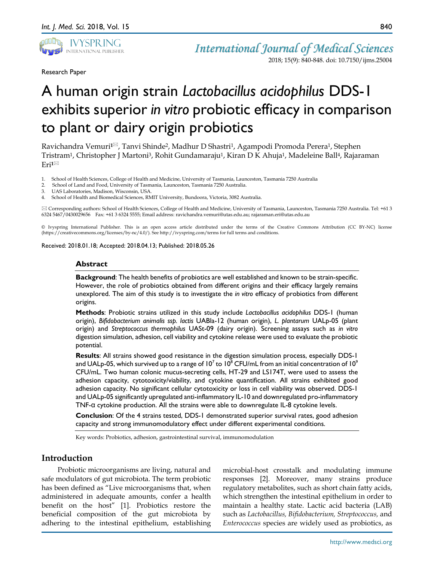

Research Paper

*International Journal of Medical Sciences* 2018; 15(9): 840-848. doi: 10.7150/ijms.25004

# A human origin strain *Lactobacillus acidophilus* DDS-1 exhibits superior *in vitro* probiotic efficacy in comparison to plant or dairy origin probiotics

Ravichandra Vemuri**1**, Tanvi Shinde2, Madhur D Shastri1, Agampodi Promoda Perera1, Stephen Tristram<sup>1</sup>, Christopher J Martoni<sup>3</sup>, Rohit Gundamaraju<sup>1</sup>, Kiran D K Ahuja<sup>1</sup>, Madeleine Ball<sup>4</sup>, Rajaraman Eri**1**

- 1. School of Health Sciences, College of Health and Medicine, University of Tasmania, Launceston, Tasmania 7250 Australia
- 2. School of Land and Food, University of Tasmania, Launceston, Tasmania 7250 Australia.<br>3. IJAS Laboratories Madison, Wisconsin, IJSA
- 3. UAS Laboratories, Madison, Wisconsin, USA.
- 4. School of Health and Biomedical Sciences, RMIT University, Bundoora, Victoria, 3082 Australia.

 Corresponding authors: School of Health Sciences, College of Health and Medicine, University of Tasmania, Launceston, Tasmania 7250 Australia. Tel: +61 3 6324 5467/0430029656 Fax: +61 3 6324 5555; Email address: ravichandra.vemuri@utas.edu.au; rajaraman.eri@utas.edu.au

© Ivyspring International Publisher. This is an open access article distributed under the terms of the Creative Commons Attribution (CC BY-NC) license (https://creativecommons.org/licenses/by-nc/4.0/). See http://ivyspring.com/terms for full terms and conditions.

Received: 2018.01.18; Accepted: 2018.04.13; Published: 2018.05.26

## **Abstract**

**Background**: The health benefits of probiotics are well established and known to be strain-specific. However, the role of probiotics obtained from different origins and their efficacy largely remains unexplored. The aim of this study is to investigate the *in vitro* efficacy of probiotics from different origins.

**Methods**: Probiotic strains utilized in this study include *Lactobacillus acidophilus* DDS-1 (human origin), *Bifidobacterium animalis ssp. lactis* UABla-12 (human origin), *L. plantarum* UALp-05 (plant origin) and *Streptococcus thermophilus* UASt-09 (dairy origin). Screening assays such as *in vitro* digestion simulation, adhesion, cell viability and cytokine release were used to evaluate the probiotic potential.

**Results**: All strains showed good resistance in the digestion simulation process, especially DDS-1 and UALp-05, which survived up to a range of  $10^7$  to  $10^8$  CFU/mL from an initial concentration of  $10^9$ CFU/mL. Two human colonic mucus-secreting cells, HT-29 and LS174T, were used to assess the adhesion capacity, cytotoxicity/viability, and cytokine quantification. All strains exhibited good adhesion capacity. No significant cellular cytotoxicity or loss in cell viability was observed. DDS-1 and UALp-05 significantly upregulated anti-inflammatory IL-10 and downregulated pro-inflammatory TNF-α cytokine production. All the strains were able to downregulate IL-8 cytokine levels.

**Conclusion**: Of the 4 strains tested, DDS-1 demonstrated superior survival rates, good adhesion capacity and strong immunomodulatory effect under different experimental conditions.

Key words: Probiotics, adhesion, gastrointestinal survival, immunomodulation

# **Introduction**

Probiotic microorganisms are living, natural and safe modulators of gut microbiota. The term probiotic has been defined as "Live microorganisms that, when administered in adequate amounts, confer a health benefit on the host" [1]. Probiotics restore the beneficial composition of the gut microbiota by adhering to the intestinal epithelium, establishing microbial-host crosstalk and modulating immune responses [2]. Moreover, many strains produce regulatory metabolites, such as short chain fatty acids, which strengthen the intestinal epithelium in order to maintain a healthy state. Lactic acid bacteria (LAB) such as *Lactobacillus, Bifidobacterium, Streptococcus,* and *Enterococcus* species are widely used as probiotics, as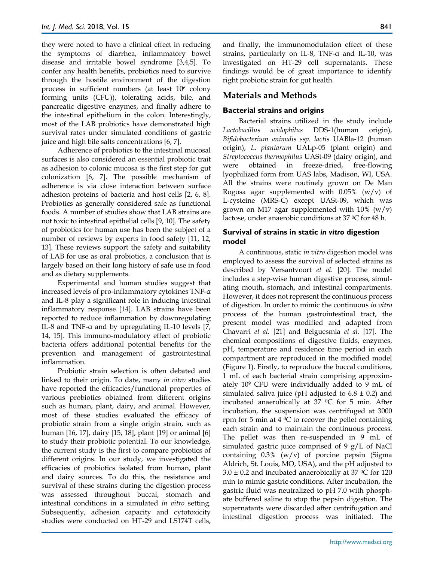they were noted to have a clinical effect in reducing the symptoms of diarrhea, inflammatory bowel disease and irritable bowel syndrome [3,4,5]. To confer any health benefits, probiotics need to survive through the hostile environment of the digestion process in sufficient numbers (at least 106 colony forming units (CFU)), tolerating acids, bile, and pancreatic digestive enzymes, and finally adhere to the intestinal epithelium in the colon. Interestingly, most of the LAB probiotics have demonstrated high survival rates under simulated conditions of gastric juice and high bile salts concentrations [6, 7].

Adherence of probiotics to the intestinal mucosal surfaces is also considered an essential probiotic trait as adhesion to colonic mucosa is the first step for gut colonization [6, 7]. The possible mechanism of adherence is via close interaction between surface adhesion proteins of bacteria and host cells [2, 6, 8]. Probiotics as generally considered safe as functional foods. A number of studies show that LAB strains are not toxic to intestinal epithelial cells [9, 10]. The safety of probiotics for human use has been the subject of a number of reviews by experts in food safety [11, 12, 13]. These reviews support the safety and suitability of LAB for use as oral probiotics, a conclusion that is largely based on their long history of safe use in food and as dietary supplements.

Experimental and human studies suggest that increased levels of pro-inflammatory cytokines TNF-α and IL-8 play a significant role in inducing intestinal inflammatory response [14]. LAB strains have been reported to reduce inflammation by downregulating IL-8 and TNF-α and by upregulating IL-10 levels [7, 14, 15]. This immuno-modulatory effect of probiotic bacteria offers additional potential benefits for the prevention and management of gastrointestinal inflammation.

Probiotic strain selection is often debated and linked to their origin. To date, many *in vitro* studies have reported the efficacies/functional properties of various probiotics obtained from different origins such as human, plant, dairy, and animal. However, most of these studies evaluated the efficacy of probiotic strain from a single origin strain, such as human [16, 17], dairy [15, 18], plant [19] or animal [6] to study their probiotic potential. To our knowledge, the current study is the first to compare probiotics of different origins. In our study, we investigated the efficacies of probiotics isolated from human, plant and dairy sources. To do this, the resistance and survival of these strains during the digestion process was assessed throughout buccal, stomach and intestinal conditions in a simulated *in vitro* setting. Subsequently, adhesion capacity and cytotoxicity studies were conducted on HT-29 and LS174T cells,

and finally, the immunomodulation effect of these strains, particularly on IL-8, TNF-α and IL-10, was investigated on HT-29 cell supernatants. These findings would be of great importance to identify right probiotic strain for gut health.

# **Materials and Methods**

## **Bacterial strains and origins**

Bacterial strains utilized in the study include *Lactobacillus acidophilus* DDS-1(human origin), *Bifidobacterium animalis ssp. lactis* UABla-12 (human origin), *L. plantarum* UALp-05 (plant origin) and *Streptococcus thermophilus* UASt-09 (dairy origin), and were obtained in freeze-dried, free-flowing lyophilized form from UAS labs, Madison, WI, USA. All the strains were routinely grown on De Man Rogosa agar supplemented with  $0.05\%$  (w/v) of L-cysteine (MRS-C) except UASt-09, which was grown on M17 agar supplemented with  $10\%$  (w/v) lactose, under anaerobic conditions at 37 0C for 48 h.

## **Survival of strains in static** *in vitro* **digestion model**

A continuous, static *in vitro* digestion model was employed to assess the survival of selected strains as described by Versantvoort *et al*. [20]. The model includes a step-wise human digestive process, simulating mouth, stomach, and intestinal compartments. However, it does not represent the continuous process of digestion. In order to mimic the continuous *in vitro* process of the human gastrointestinal tract, the present model was modified and adapted from Chavarri *et al.* [21] and Belguesmia *et al.* [17]. The chemical compositions of digestive fluids, enzymes, pH, temperature and residence time period in each compartment are reproduced in the modified model (Figure 1). Firstly, to reproduce the buccal conditions, 1 mL of each bacterial strain comprising approximately 109 CFU were individually added to 9 mL of simulated saliva juice (pH adjusted to  $6.8 \pm 0.2$ ) and incubated anaerobically at  $37 \degree$ C for 5 min. After incubation, the suspension was centrifuged at 3000 rpm for 5 min at 4  $\rm{^0C}$  to recover the pellet containing each strain and to maintain the continuous process. The pellet was then re-suspended in 9 mL of simulated gastric juice comprised of 9 g/L of NaCl containing 0.3% (w/v) of porcine pepsin (Sigma Aldrich, St. Louis, MO, USA), and the pH adjusted to  $3.0 \pm 0.2$  and incubated anaerobically at 37 °C for 120 min to mimic gastric conditions. After incubation, the gastric fluid was neutralized to pH 7.0 with phosphate buffered saline to stop the pepsin digestion. The supernatants were discarded after centrifugation and intestinal digestion process was initiated. The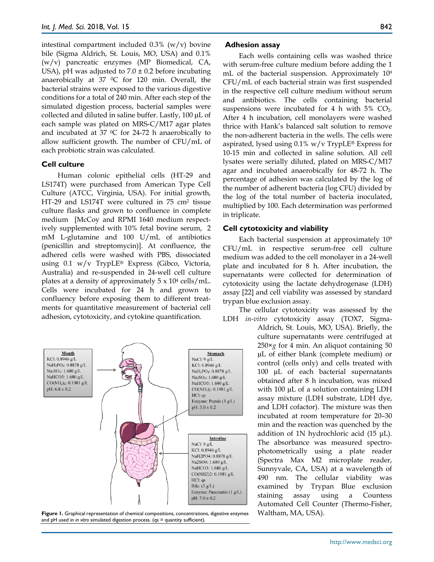intestinal compartment included 0.3% (w/v) bovine bile (Sigma Aldrich, St. Louis, MO, USA) and 0.1% (w/v) pancreatic enzymes (MP Biomedical, CA, USA), pH was adjusted to  $7.0 \pm 0.2$  before incubating anaerobically at 37  $\degree$ C for 120 min. Overall, the bacterial strains were exposed to the various digestive conditions for a total of 240 min. After each step of the simulated digestion process, bacterial samples were collected and diluted in saline buffer. Lastly, 100 µL of each sample was plated on MRS-C/M17 agar plates and incubated at 37  $\rm{^{\circ}C}$  for 24-72 h anaerobically to allow sufficient growth. The number of CFU/mL of each probiotic strain was calculated.

## **Cell culture**

Human colonic epithelial cells (HT-29 and LS174T) were purchased from American Type Cell Culture (ATCC, Virginia, USA). For initial growth, HT-29 and LS174T were cultured in 75 cm2 tissue culture flasks and grown to confluence in complete medium [McCoy and RPMI 1640 medium respectively supplemented with 10% fetal bovine serum, 2 mM L-glutamine and 100 U/mL of antibiotics (penicillin and streptomycin)]. At confluence, the adhered cells were washed with PBS, dissociated using 0.1 w/v TrypLE® Express (Gibco, Victoria, Australia) and re-suspended in 24-well cell culture plates at a density of approximately  $5 \times 10^4$  cells/mL. Cells were incubated for 24 h and grown to confluency before exposing them to different treatments for quantitative measurement of bacterial cell adhesion, cytotoxicity, and cytokine quantification.



**Figure 1.** Graphical representation of chemical compositions, concentrations, digestive enzymes Waltham, MA, USA). and pH used in *in vitro* simulated digestion process. (qs = quantity sufficient)

## **Adhesion assay**

Each wells containing cells was washed thrice with serum-free culture medium before adding the 1 mL of the bacterial suspension. Approximately 109 CFU/mL of each bacterial strain was first suspended in the respective cell culture medium without serum and antibiotics. The cells containing bacterial suspensions were incubated for 4 h with  $5\%$  CO<sub>2</sub>. After 4 h incubation, cell monolayers were washed thrice with Hank's balanced salt solution to remove the non-adherent bacteria in the wells. The cells were aspirated, lysed using  $0.1\%$  w/v TrypLE® Express for 10-15 min and collected in saline solution. All cell lysates were serially diluted, plated on MRS-C/M17 agar and incubated anaerobically for 48-72 h. The percentage of adhesion was calculated by the log of the number of adherent bacteria (log CFU) divided by the log of the total number of bacteria inoculated, multiplied by 100. Each determination was performed in triplicate.

#### **Cell cytotoxicity and viability**

Each bacterial suspension at approximately 109 CFU/mL in respective serum-free cell culture medium was added to the cell monolayer in a 24-well plate and incubated for 8 h. After incubation, the supernatants were collected for determination of cytotoxicity using the lactate dehydrogenase (LDH) assay [22] and cell viability was assessed by standard trypan blue exclusion assay.

The cellular cytotoxicity was assessed by the LDH *in-vitro* cytotoxicity assay (TOX7, Sigma-

Aldrich, St. Louis, MO, USA). Briefly, the culture supernatants were centrifuged at 250×*g* for 4 min. An aliquot containing 50 µL of either blank (complete medium) or control (cells only) and cells treated with 100 µL of each bacterial supernatants obtained after 8 h incubation, was mixed with 100 µL of a solution containing LDH assay mixture (LDH substrate, LDH dye, and LDH cofactor). The mixture was then incubated at room temperature for 20–30 min and the reaction was quenched by the addition of 1N hydrochloric acid (15 μL). The absorbance was measured spectrophotometrically using a plate reader (Spectra Max M2 microplate reader, Sunnyvale, CA, USA) at a wavelength of 490 nm. The cellular viability was examined by Trypan Blue exclusion staining assay using a Countess Automated Cell Counter (Thermo-Fisher,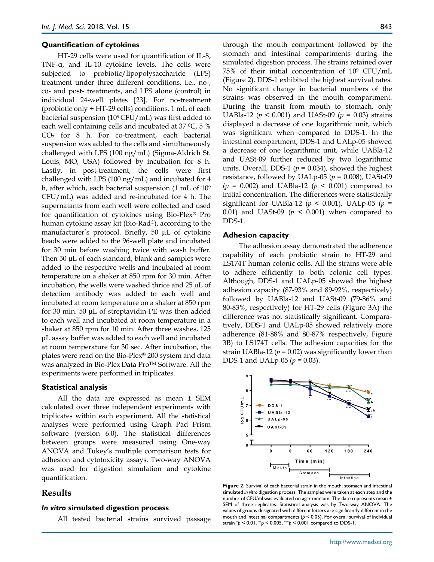#### **Quantification of cytokines**

HT-29 cells were used for quantification of IL-8, TNF-α, and IL-10 cytokine levels. The cells were subjected to probiotic/lipopolysaccharide (LPS) treatment under three different conditions, i.e., no-, co- and post- treatments, and LPS alone (control) in individual 24-well plates [23]. For no-treatment (probiotic only + HT-29 cells) conditions, 1 mL of each bacterial suspension  $(10^9$  CFU/mL) was first added to each well containing cells and incubated at  $37 \degree C$ , 5 % CO2 for 8 h. For co-treatment, each bacterial suspension was added to the cells and simultaneously challenged with LPS (100 ng/mL) (Sigma-Aldrich St. Louis, MO, USA) followed by incubation for 8 h. Lastly, in post-treatment, the cells were first challenged with LPS (100 ng/mL) and incubated for 4 h, after which, each bacterial suspension (1 mL of 109 CFU/mL) was added and re-incubated for 4 h. The supernatants from each well were collected and used for quantification of cytokines using Bio-Plex® Pro human cytokine assay kit (Bio-Rad®), according to the manufacturer's protocol. Briefly, 50 µL of cytokine beads were added to the 96-well plate and incubated for 30 min before washing twice with wash buffer. Then 50 µL of each standard, blank and samples were added to the respective wells and incubated at room temperature on a shaker at 850 rpm for 30 min. After incubation, the wells were washed thrice and 25 µL of detection antibody was added to each well and incubated at room temperature on a shaker at 850 rpm for 30 min. 50 µL of streptavidin-PE was then added to each well and incubated at room temperature in a shaker at 850 rpm for 10 min. After three washes, 125 μL assay buffer was added to each well and incubated at room temperature for 30 sec. After incubation, the plates were read on the Bio-Plex® 200 system and data was analyzed in Bio-Plex Data ProTM Software. All the experiments were performed in triplicates.

#### **Statistical analysis**

All the data are expressed as mean ± SEM calculated over three independent experiments with triplicates within each experiment. All the statistical analyses were performed using Graph Pad Prism software (version 6.0). The statistical differences between groups were measured using One-way ANOVA and Tukey's multiple comparison tests for adhesion and cytotoxicity assays. Two-way ANOVA was used for digestion simulation and cytokine quantification.

## **Results**

#### *In vitro* **simulated digestion process**

All tested bacterial strains survived passage

through the mouth compartment followed by the stomach and intestinal compartments during the simulated digestion process. The strains retained over 75% of their initial concentration of 109 CFU/mL (Figure 2). DDS-1 exhibited the highest survival rates. No significant change in bacterial numbers of the strains was observed in the mouth compartment. During the transit from mouth to stomach, only UABla-12 (*p* < 0.001) and UASt-09 (*p* = 0.03) strains displayed a decrease of one logarithmic unit, which was significant when compared to DDS-1. In the intestinal compartment, DDS-1 and UALp-05 showed a decrease of one logarithmic unit, while UABla-12 and UASt-09 further reduced by two logarithmic units. Overall, DDS-1 ( $p = 0.034$ ), showed the highest resistance, followed by UALp-05 (*p* = 0.008)*,* UASt-09 (*p* = 0.002) and UABla-12 (*p* < 0.001) compared to initial concentration. The differences were statistically significant for UABla-12 ( $p \le 0.001$ ), UALp-05 ( $p =$ 0.01) and UASt-09 (*p* < 0.001) when compared to DDS-1.

#### **Adhesion capacity**

The adhesion assay demonstrated the adherence capability of each probiotic strain to HT-29 and LS174T human colonic cells. All the strains were able to adhere efficiently to both colonic cell types. Although, DDS-1 and UALp-05 showed the highest adhesion capacity (87-93% and 89-92%, respectively) followed by UABla-12 and UASt-09 (79-86% and 80-83%, respectively) for HT-29 cells (Figure 3A) the difference was not statistically significant. Comparatively, DDS-1 and UALp-05 showed relatively more adherence (81-88% and 80-87% respectively, Figure 3B) to LS174T cells. The adhesion capacities for the strain UABla-12 ( $p = 0.02$ ) was significantly lower than DDS-1 and UALp-05 (*p* = 0.03).



**Figure 2.** Survival of each bacterial strain in the mouth, stomach and intestinal simulated *in vitro* digestion process. The samples were taken at each step and the number of CFU/ml was evaluated on agar medium. The date represents mean ± SEM of three replicates. Statistical analysis was by Two-way ANOVA. The values of groups designated with different letters are significantly different in the mouth and intestinal compartments ( $p < 0.05$ ). For overall survival of individual strain \**p* < 0.01, \*\**p* < 0.005, \*\*\**p* < 0.001 compared to DDS-1.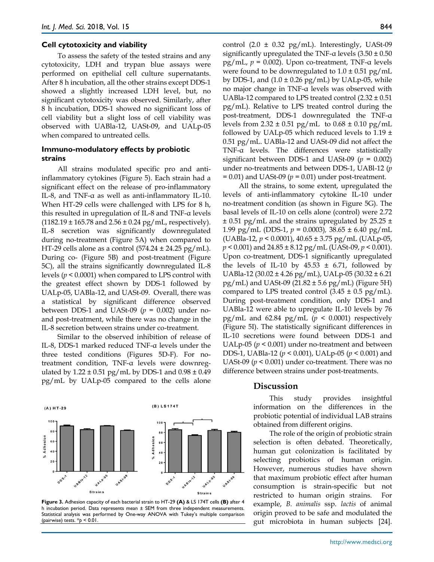## **Cell cytotoxicity and viability**

To assess the safety of the tested strains and any cytotoxicity, LDH and trypan blue assays were performed on epithelial cell culture supernatants. After 8 h incubation, all the other strains except DDS-1 showed a slightly increased LDH level, but, no significant cytotoxicity was observed. Similarly, after 8 h incubation, DDS-1 showed no significant loss of cell viability but a slight loss of cell viability was observed with UABla-12, UASt-09, and UALp-05 when compared to untreated cells.

## **Immuno-modulatory effects by probiotic strains**

All strains modulated specific pro and antiinflammatory cytokines (Figure 5). Each strain had a significant effect on the release of pro-inflammatory IL-8, and TNF-α as well as anti-inflammatory IL-10. When HT-29 cells were challenged with LPS for 8 h, this resulted in upregulation of IL-8 and TNF-α levels  $(1182.19 \pm 165.78 \text{ and } 2.56 \pm 0.24 \text{ pg/mL}$ , respectively). IL-8 secretion was significantly downregulated during no-treatment (Figure 5A) when compared to HT-29 cells alone as a control  $(574.24 \pm 24.25 \text{ pg/mL})$ . During co- (Figure 5B) and post-treatment (Figure 5C), all the strains significantly downregulated IL-8 levels (*p* < 0.0001) when compared to LPS control with the greatest effect shown by DDS-1 followed by UALp-05, UABla-12, and UASt-09. Overall, there was a statistical by significant difference observed between DDS-1 and UASt-09  $(p = 0.002)$  under noand post-treatment, while there was no change in the IL-8 secretion between strains under co-treatment.

Similar to the observed inhibition of release of IL-8, DDS-1 marked reduced TNF-α levels under the three tested conditions (Figures 5D-F). For notreatment condition, TNF-α levels were downregulated by  $1.22 \pm 0.51$  pg/mL by DDS-1 and  $0.98 \pm 0.49$ pg/mL by UALp-05 compared to the cells alone control  $(2.0 \pm 0.32 \text{ pg/mL})$ . Interestingly, UASt-09 significantly upregulated the TNF- $\alpha$  levels (3.50  $\pm$  0.50 pg/mL, *p* = 0.002). Upon co-treatment, TNF-α levels were found to be downregulated to  $1.0 \pm 0.51$  pg/mL by DDS-1, and  $(1.0 \pm 0.26 \text{ pg/mL})$  by UALp-05, while no major change in TNF-α levels was observed with UABla-12 compared to LPS treated control  $(2.32 \pm 0.51)$ pg/mL). Relative to LPS treated control during the post-treatment, DDS-1 downregulated the TNF-α levels from  $2.32 \pm 0.51$  pg/mL to  $0.68 \pm 0.10$  pg/mL followed by UALp-05 which reduced levels to  $1.19 \pm$ 0.51 pg/mL. UABla-12 and UASt-09 did not affect the TNF-α levels. The differences were statistically significant between DDS-1 and UASt-09 (*p* = 0.002) under no-treatments and between DDS-1, UABl-12 (*p*  = 0.01) and UASt-09 (*p* = 0.01) under post-treatment.

All the strains, to some extent, upregulated the levels of anti-inflammatory cytokine IL-10 under no-treatment condition (as shown in Figure 5G). The basal levels of IL-10 on cells alone (control) were 2.72  $\pm$  0.51 pg/mL and the strains upregulated by 25.25  $\pm$ 1.99 pg/mL (DDS-1, *p* = 0.0003)*,* 38.65 ± 6.40 pg/mL (UABla-12, *p* < 0.0001), 40.65 ± 3.75 pg/mL (UALp-05, *p* < 0.001) and 24.85 ± 8.12 pg/mL (UASt-09, *p* < 0.001). Upon co-treatment, DDS-1 significantly upregulated the levels of IL-10 by  $45.53 \pm 6.71$ , followed by UABla-12 (30.02 ± 4.26 pg/mL), UALp-05 (30.32 ± 6.21  $pg/mL)$  and UASt-09 (21.82  $\pm$  5.6 pg/mL) (Figure 5H) compared to LPS treated control  $(3.45 \pm 0.5 \text{ pg/mL})$ . During post-treatment condition, only DDS-1 and UABla-12 were able to upregulate IL-10 levels by 76 pg/mL and  $62.84$  pg/mL ( $p < 0.0001$ ) respectively (Figure 5I). The statistically significant differences in IL-10 secretions were found between DDS-1 and UALp-05 ( $p < 0.001$ ) under no-treatment and between DDS-1, UABla-12 (*p* < 0.001), UALp-05 (*p* < 0.001) and UASt-09 (*p* < 0.001) under co-treatment. There was no difference between strains under post-treatments.



#### **Figure 3.** Adhesion capacity of each bacterial strain to HT-29 **(A)** & LS 174T cells **(B)** after 4 h incubation period. Data represents mean  $\pm$  SEM from three independent measurements. Statistical analysis was performed by One-way ANOVA with Tukey's multiple comparison (pairwise) tests. \**p* < 0.01.

## **Discussion**

This study provides insightful information on the differences in the probiotic potential of individual LAB strains obtained from different origins.

The role of the origin of probiotic strain selection is often debated. Theoretically, human gut colonization is facilitated by selecting probiotics of human origin. However, numerous studies have shown that maximum probiotic effect after human consumption is strain-specific but not restricted to human origin strains. For example, *B. animalis* ssp. *lactis* of animal origin proved to be safe and modulated the gut microbiota in human subjects [24].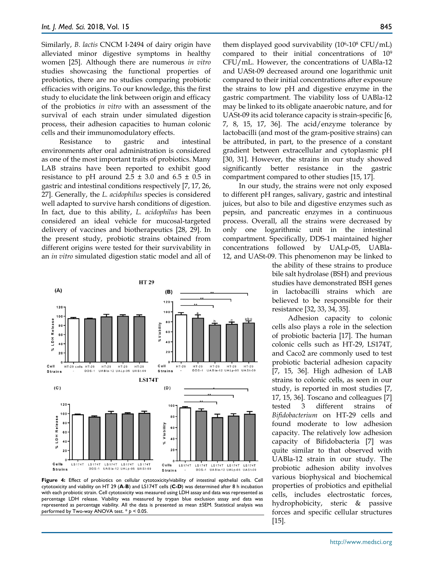Similarly, *B. lactis* CNCM I‐2494 of dairy origin have alleviated minor digestive symptoms in healthy women [25]. Although there are numerous *in vitro* studies showcasing the functional properties of probiotics, there are no studies comparing probiotic efficacies with origins. To our knowledge, this the first study to elucidate the link between origin and efficacy of the probiotics *in vitro* with an assessment of the survival of each strain under simulated digestion process, their adhesion capacities to human colonic cells and their immunomodulatory effects.

Resistance to gastric and intestinal environments after oral administration is considered as one of the most important traits of probiotics. Many LAB strains have been reported to exhibit good resistance to pH around  $2.5 \pm 3.0$  and  $6.5 \pm 0.5$  in gastric and intestinal conditions respectively [7, 17, 26, 27]. Generally, the *L. acidophilus* species is considered well adapted to survive harsh conditions of digestion. In fact, due to this ability, *L. acidophilus* has been considered an ideal vehicle for mucosal-targeted delivery of vaccines and biotherapeutics [28, 29]. In the present study, probiotic strains obtained from different origins were tested for their survivability in an *in vitro* simulated digestion static model and all of



**Figure 4:** Effect of probiotics on cellular cytotoxicity/viability of intestinal epithelial cells. Cell cytotoxicity and viability on HT 29 (**A**-**B**) and LS174T cells (**C-D**) was determined after 8 h incubation with each probiotic strain. Cell cytotoxicity was measured using LDH assay and data was represented as percentage LDH release. Viability was measured by trypan blue exclusion assay and data was represented as percentage viability. All the data is presented as mean ±SEM. Statistical analysis was performed by Two-way ANOVA test. \* *p* < 0.05.

them displayed good survivability  $(10^6 - 10^8 \text{ CFU/mL})$ compared to their initial concentrations of 109 CFU/mL. However, the concentrations of UABla-12 and UASt-09 decreased around one logarithmic unit compared to their initial concentrations after exposure the strains to low pH and digestive enzyme in the gastric compartment. The viability loss of UABla-12 may be linked to its obligate anaerobic nature, and for UASt-09 its acid tolerance capacity is strain-specific [6, 7, 8, 15, 17, 36]. The acid/enzyme tolerance by lactobacilli (and most of the gram-positive strains) can be attributed, in part, to the presence of a constant gradient between extracellular and cytoplasmic pH [30, 31]. However, the strains in our study showed significantly better resistance in the gastric compartment compared to other studies [15, 17].

In our study, the strains were not only exposed to different pH ranges, salivary, gastric and intestinal juices, but also to bile and digestive enzymes such as pepsin, and pancreatic enzymes in a continuous process. Overall, all the strains were decreased by only one logarithmic unit in the intestinal compartment. Specifically, DDS-1 maintained higher concentrations followed by UALp-05, UABla-12, and UASt-09. This phenomenon may be linked to

> the ability of these strains to produce bile salt hydrolase (BSH) and previous studies have demonstrated BSH genes in lactobacilli strains which are believed to be responsible for their resistance [32, 33, 34, 35].

Adhesion capacity to colonic cells also plays a role in the selection of probiotic bacteria [17]. The human colonic cells such as HT-29, LS174T, and Caco2 are commonly used to test probiotic bacterial adhesion capacity [7, 15, 36]. High adhesion of LAB strains to colonic cells, as seen in our study, is reported in most studies [7, 17, 15, 36]. Toscano and colleagues [7] tested 3 different strains of *Bifidobacterium* on HT-29 cells and found moderate to low adhesion capacity. The relatively low adhesion capacity of Bifidobacteria [7] was quite similar to that observed with UABla-12 strain in our study. The probiotic adhesion ability involves various biophysical and biochemical properties of probiotics and epithelial cells, includes electrostatic forces, hydrophobicity, steric & passive forces and specific cellular structures [15].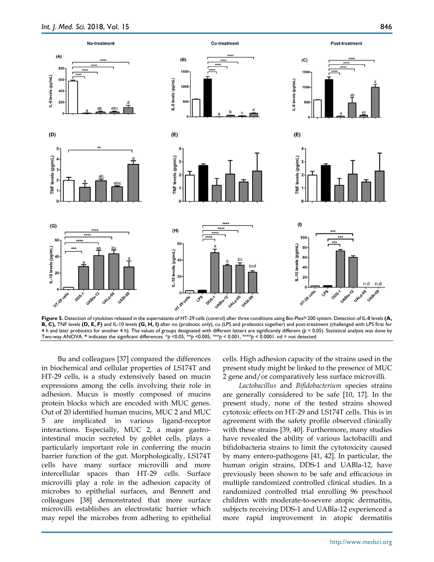

**Figure 5.** Detection of cytokines released in the supernatants of HT-29 cells (control) after three conditions using Bio-Plex® 200 system. Detection of IL-8 levels **(A, B, C),** TNF levels **(D, E, F)** and IL-10 levels **(G, H, I)** after no (probiotic only), co (LPS and probiotics together) and post-treatment (challenged with LPS first for 4 h and later probiotics for another 4 h). The values of groups designated with different letters are significantly different (*p* < 0.05). Statistical analysis was done by Two-way ANOVA. **\*** indicates the significant differences. \**p* <0.05, \*\**p* <0.005, \*\*\**p* < 0.001, \*\*\*\**p* < 0.0001. nd = not detected.

Bu and colleagues [37] compared the differences in biochemical and cellular properties of LS174T and HT-29 cells, is a study extensively based on mucin expressions among the cells involving their role in adhesion. Mucus is mostly composed of mucins protein blocks which are encoded with MUC genes. Out of 20 identified human mucins, MUC 2 and MUC 5 are implicated in various ligand-receptor interactions. Especially, MUC 2, a major gastrointestinal mucin secreted by goblet cells, plays a particularly important role in conferring the mucin barrier function of the gut. Morphologically, LS174T cells have many surface microvilli and more intercellular spaces than HT-29 cells. Surface microvilli play a role in the adhesion capacity of microbes to epithelial surfaces, and Bennett and colleagues [38] demonstrated that more surface microvilli establishes an electrostatic barrier which may repel the microbes from adhering to epithelial

cells. High adhesion capacity of the strains used in the present study might be linked to the presence of MUC 2 gene and/or comparatively less surface microvilli.

*Lactobacillus* and *Bifidobacterium* species strains are generally considered to be safe [10, 17]. In the present study, none of the tested strains showed cytotoxic effects on HT-29 and LS174T cells. This is in agreement with the safety profile observed clinically with these strains [39, 40]. Furthermore, many studies have revealed the ability of various lactobacilli and bifidobacteria strains to limit the cytotoxicity caused by many entero-pathogens [41, 42]. In particular, the human origin strains, DDS-1 and UABla-12, have previously been shown to be safe and efficacious in multiple randomized controlled clinical studies. In a randomized controlled trial enrolling 96 preschool children with moderate-to-severe atopic dermatitis, subjects receiving DDS-1 and UABla-12 experienced a more rapid improvement in atopic dermatitis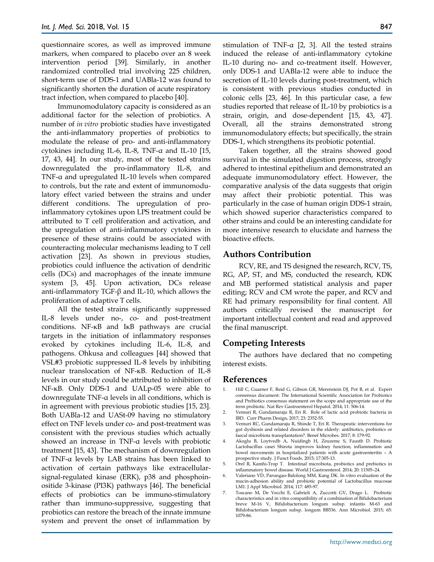questionnaire scores, as well as improved immune markers, when compared to placebo over an 8 week intervention period [39]. Similarly, in another randomized controlled trial involving 225 children, short-term use of DDS-1 and UABla-12 was found to significantly shorten the duration of acute respiratory tract infection, when compared to placebo [40].

Immunomodulatory capacity is considered as an additional factor for the selection of probiotics. A number of *in vitro* probiotic studies have investigated the anti-inflammatory properties of probiotics to modulate the release of pro- and anti-inflammatory cytokines including IL-6, IL-8, TNF-α and IL-10 [15, 17, 43, 44]. In our study, most of the tested strains downregulated the pro-inflammatory IL-8, and TNF-α and upregulated IL-10 levels when compared to controls, but the rate and extent of immunomodulatory effect varied between the strains and under different conditions. The upregulation of proinflammatory cytokines upon LPS treatment could be attributed to T cell proliferation and activation, and the upregulation of anti-inflammatory cytokines in presence of these strains could be associated with counteracting molecular mechanisms leading to T cell activation [23]. As shown in previous studies, probiotics could influence the activation of dendritic cells (DCs) and macrophages of the innate immune system [3, 45]. Upon activation, DCs release anti-inflammatory TGF-β and IL-10, which allows the proliferation of adaptive T cells.

All the tested strains significantly suppressed IL-8 levels under no-, co- and post-treatment conditions. NF-ĸB and IκB pathways are crucial targets in the initiation of inflammatory responses evoked by cytokines including IL-6, IL-8, and pathogens. Ohkusa and colleagues [44] showed that VSL#3 probiotic suppressed IL-8 levels by inhibiting nuclear translocation of NF-ĸB. Reduction of IL-8 levels in our study could be attributed to inhibition of NF-ĸB. Only DDS-1 and UALp-05 were able to downregulate TNF-α levels in all conditions, which is in agreement with previous probiotic studies [15, 23]. Both UABla-12 and UASt-09 having no stimulatory effect on TNF levels under co- and post-treatment was consistent with the previous studies which actually showed an increase in TNF-α levels with probiotic treatment [15, 43]. The mechanism of downregulation of TNF-α levels by LAB strains has been linked to activation of certain pathways like extracellularsignal-regulated kinase (ERK), p38 and phosphoinositide 3-kinase (PI3K) pathways [46]. The beneficial effects of probiotics can be immuno-stimulatory rather than immuno-suppressive, suggesting that probiotics can restore the breach of the innate immune system and prevent the onset of inflammation by

stimulation of TNF- $\alpha$  [2, 3]. All the tested strains induced the release of anti-inflammatory cytokine IL-10 during no- and co-treatment itself. However, only DDS-1 and UABla-12 were able to induce the secretion of IL-10 levels during post-treatment, which is consistent with previous studies conducted in colonic cells [23, 46]. In this particular case, a few studies reported that release of IL-10 by probiotics is a strain, origin, and dose-dependent [15, 43, 47]. Overall, all the strains demonstrated strong immunomodulatory effects; but specifically, the strain DDS-1, which strengthens its probiotic potential.

Taken together, all the strains showed good survival in the simulated digestion process, strongly adhered to intestinal epithelium and demonstrated an adequate immunomodulatory effect. However, the comparative analysis of the data suggests that origin may affect their probiotic potential. This was particularly in the case of human origin DDS-1 strain, which showed superior characteristics compared to other strains and could be an interesting candidate for more intensive research to elucidate and harness the bioactive effects.

# **Authors Contribution**

RCV, RE, and TS designed the research, RCV, TS, RG, AP, ST, and MS, conducted the research, KDK and MB performed statistical analysis and paper editing; RCV and CM wrote the paper, and RCV and RE had primary responsibility for final content. All authors critically revised the manuscript for important intellectual content and read and approved the final manuscript.

# **Competing Interests**

The authors have declared that no competing interest exists.

# **References**

- Hill C, Guarner F, Reid G, Gibson GR, Merenstein DJ, Pot B, et al. Expert consensus document: The International Scientific Association for Probiotics and Prebiotics consensus statement on the scope and appropriate use of the term probiotic. Nat Rev Gastroenterol Hepatol. 2014; 11: 506-14.
- 2. Vemuri R, Gundamaraju R, Eri R. Role of lactic acid probiotic bacteria in IBD. Curr Pharm Design**.** 2017; 23: 2352-55.
- 3. Vemuri RC, Gundamaraju R, Shinde T, Eri R. Therapeutic interventions for gut dysbiosis and related disorders in the elderly: antibiotics, probiotics or faecal microbiota transplantation?. Benef Microbes. 2017; 8: 179-92.
- 4. Akoglu B, Loytvedb A, Nuidingb H, Zeuzemc S, Faustb D. Probiotic Lactobacillus casei Shirota improves kidney function, inflammation and bowel movements in hospitalized patients with acute gastroenteritis – A prospective study. J Funct Foods. 2015; 17:305-13.
- 5. Orel R, Kamhi-Trop T. Intestinal microbiota, probiotics and prebiotics in inflammatory bowel disease. World J Gastroenterol. 2014; 20: 11505–24.
- 6. Valeriano VD, Parungao‐Balolong MM, Kang DK. In vitro evaluation of the mucin‐adhesion ability and probiotic potential of Lactobacillus mucosae LM1. J Appl Microbiol. 2014; 117: 485-97.
- 7. Toscano M, De Vecchi E, Gabrieli A, Zuccotti GV, Drago L. Probiotic characteristics and in vitro compatibility of a combination of Bifidobacterium breve M-16 V, Bifidobacterium longum subsp. infantis M-63 and Bifidobacterium longum subsp. longum BB536. Ann Microbiol. 2015; 65: 1079-86.